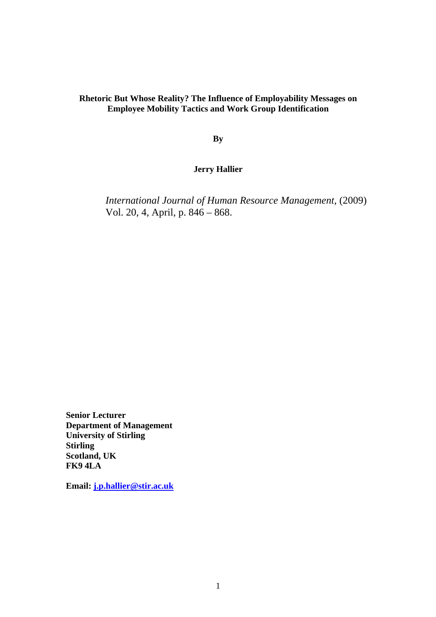## **Rhetoric But Whose Reality? The Influence of Employability Messages on Employee Mobility Tactics and Work Group Identification**

**By** 

# **Jerry Hallier**

*International Journal of Human Resource Management*, (2009) Vol. 20, 4, April, p. 846 – 868.

**Senior Lecturer Department of Management University of Stirling Stirling Scotland, UK FK9 4LA** 

**Email: j.p.hallier@stir.ac.uk**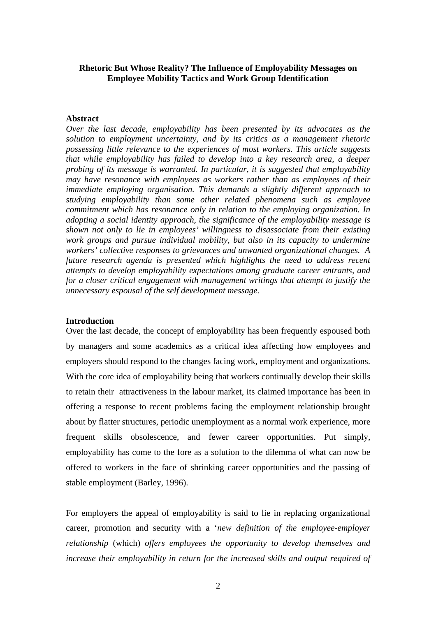## **Rhetoric But Whose Reality? The Influence of Employability Messages on Employee Mobility Tactics and Work Group Identification**

#### **Abstract**

*Over the last decade, employability has been presented by its advocates as the solution to employment uncertainty, and by its critics as a management rhetoric possessing little relevance to the experiences of most workers. This article suggests that while employability has failed to develop into a key research area, a deeper probing of its message is warranted. In particular, it is suggested that employability may have resonance with employees as workers rather than as employees of their immediate employing organisation. This demands a slightly different approach to studying employability than some other related phenomena such as employee commitment which has resonance only in relation to the employing organization. In adopting a social identity approach, the significance of the employability message is shown not only to lie in employees' willingness to disassociate from their existing work groups and pursue individual mobility, but also in its capacity to undermine workers' collective responses to grievances and unwanted organizational changes. A future research agenda is presented which highlights the need to address recent attempts to develop employability expectations among graduate career entrants, and for a closer critical engagement with management writings that attempt to justify the unnecessary espousal of the self development message.* 

#### **Introduction**

Over the last decade, the concept of employability has been frequently espoused both by managers and some academics as a critical idea affecting how employees and employers should respond to the changes facing work, employment and organizations. With the core idea of employability being that workers continually develop their skills to retain their attractiveness in the labour market, its claimed importance has been in offering a response to recent problems facing the employment relationship brought about by flatter structures, periodic unemployment as a normal work experience, more frequent skills obsolescence, and fewer career opportunities. Put simply, employability has come to the fore as a solution to the dilemma of what can now be offered to workers in the face of shrinking career opportunities and the passing of stable employment (Barley, 1996).

For employers the appeal of employability is said to lie in replacing organizational career, promotion and security with a '*new definition of the employee-employer relationship* (which) *offers employees the opportunity to develop themselves and increase their employability in return for the increased skills and output required of*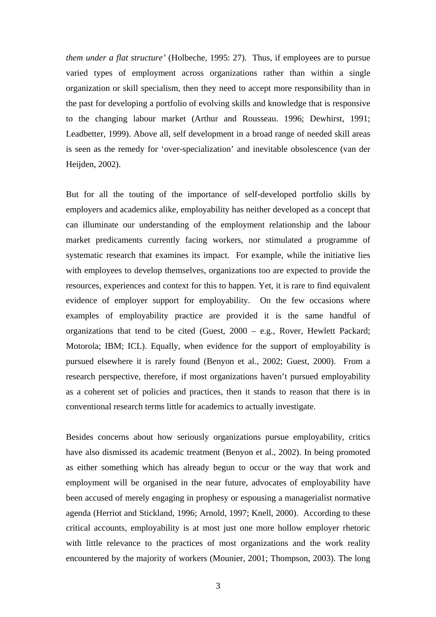*them under a flat structure'* (Holbeche, 1995: 27). Thus, if employees are to pursue varied types of employment across organizations rather than within a single organization or skill specialism, then they need to accept more responsibility than in the past for developing a portfolio of evolving skills and knowledge that is responsive to the changing labour market (Arthur and Rousseau. 1996; Dewhirst, 1991; Leadbetter, 1999). Above all, self development in a broad range of needed skill areas is seen as the remedy for 'over-specialization' and inevitable obsolescence (van der Heijden, 2002).

But for all the touting of the importance of self-developed portfolio skills by employers and academics alike, employability has neither developed as a concept that can illuminate our understanding of the employment relationship and the labour market predicaments currently facing workers, nor stimulated a programme of systematic research that examines its impact. For example, while the initiative lies with employees to develop themselves, organizations too are expected to provide the resources, experiences and context for this to happen. Yet, it is rare to find equivalent evidence of employer support for employability. On the few occasions where examples of employability practice are provided it is the same handful of organizations that tend to be cited (Guest, 2000 – e.g., Rover, Hewlett Packard; Motorola; IBM; ICL). Equally, when evidence for the support of employability is pursued elsewhere it is rarely found (Benyon et al., 2002; Guest, 2000). From a research perspective, therefore, if most organizations haven't pursued employability as a coherent set of policies and practices, then it stands to reason that there is in conventional research terms little for academics to actually investigate.

Besides concerns about how seriously organizations pursue employability, critics have also dismissed its academic treatment (Benyon et al., 2002). In being promoted as either something which has already begun to occur or the way that work and employment will be organised in the near future, advocates of employability have been accused of merely engaging in prophesy or espousing a managerialist normative agenda (Herriot and Stickland, 1996; Arnold, 1997; Knell, 2000). According to these critical accounts, employability is at most just one more hollow employer rhetoric with little relevance to the practices of most organizations and the work reality encountered by the majority of workers (Mounier, 2001; Thompson, 2003). The long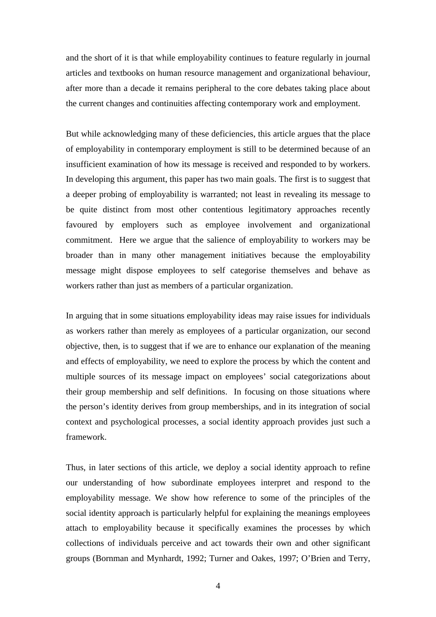and the short of it is that while employability continues to feature regularly in journal articles and textbooks on human resource management and organizational behaviour, after more than a decade it remains peripheral to the core debates taking place about the current changes and continuities affecting contemporary work and employment.

But while acknowledging many of these deficiencies, this article argues that the place of employability in contemporary employment is still to be determined because of an insufficient examination of how its message is received and responded to by workers. In developing this argument, this paper has two main goals. The first is to suggest that a deeper probing of employability is warranted; not least in revealing its message to be quite distinct from most other contentious legitimatory approaches recently favoured by employers such as employee involvement and organizational commitment. Here we argue that the salience of employability to workers may be broader than in many other management initiatives because the employability message might dispose employees to self categorise themselves and behave as workers rather than just as members of a particular organization.

In arguing that in some situations employability ideas may raise issues for individuals as workers rather than merely as employees of a particular organization, our second objective, then, is to suggest that if we are to enhance our explanation of the meaning and effects of employability, we need to explore the process by which the content and multiple sources of its message impact on employees' social categorizations about their group membership and self definitions. In focusing on those situations where the person's identity derives from group memberships, and in its integration of social context and psychological processes, a social identity approach provides just such a framework.

Thus, in later sections of this article, we deploy a social identity approach to refine our understanding of how subordinate employees interpret and respond to the employability message. We show how reference to some of the principles of the social identity approach is particularly helpful for explaining the meanings employees attach to employability because it specifically examines the processes by which collections of individuals perceive and act towards their own and other significant groups (Bornman and Mynhardt, 1992; Turner and Oakes, 1997; O'Brien and Terry,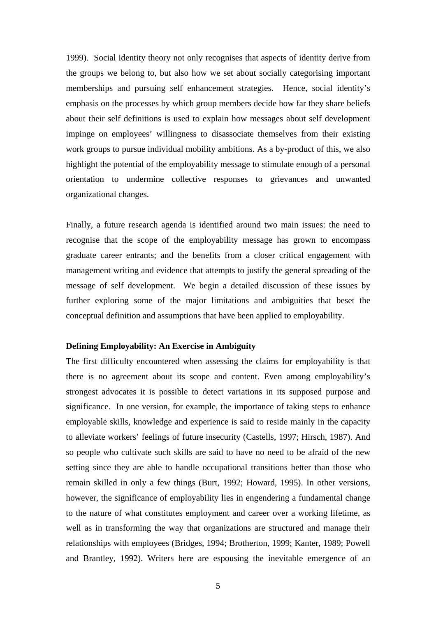1999). Social identity theory not only recognises that aspects of identity derive from the groups we belong to, but also how we set about socially categorising important memberships and pursuing self enhancement strategies. Hence, social identity's emphasis on the processes by which group members decide how far they share beliefs about their self definitions is used to explain how messages about self development impinge on employees' willingness to disassociate themselves from their existing work groups to pursue individual mobility ambitions. As a by-product of this, we also highlight the potential of the employability message to stimulate enough of a personal orientation to undermine collective responses to grievances and unwanted organizational changes.

Finally, a future research agenda is identified around two main issues: the need to recognise that the scope of the employability message has grown to encompass graduate career entrants; and the benefits from a closer critical engagement with management writing and evidence that attempts to justify the general spreading of the message of self development. We begin a detailed discussion of these issues by further exploring some of the major limitations and ambiguities that beset the conceptual definition and assumptions that have been applied to employability.

## **Defining Employability: An Exercise in Ambiguity**

The first difficulty encountered when assessing the claims for employability is that there is no agreement about its scope and content. Even among employability's strongest advocates it is possible to detect variations in its supposed purpose and significance. In one version, for example, the importance of taking steps to enhance employable skills, knowledge and experience is said to reside mainly in the capacity to alleviate workers' feelings of future insecurity (Castells, 1997; Hirsch, 1987). And so people who cultivate such skills are said to have no need to be afraid of the new setting since they are able to handle occupational transitions better than those who remain skilled in only a few things (Burt, 1992; Howard, 1995). In other versions, however, the significance of employability lies in engendering a fundamental change to the nature of what constitutes employment and career over a working lifetime, as well as in transforming the way that organizations are structured and manage their relationships with employees (Bridges, 1994; Brotherton, 1999; Kanter, 1989; Powell and Brantley, 1992). Writers here are espousing the inevitable emergence of an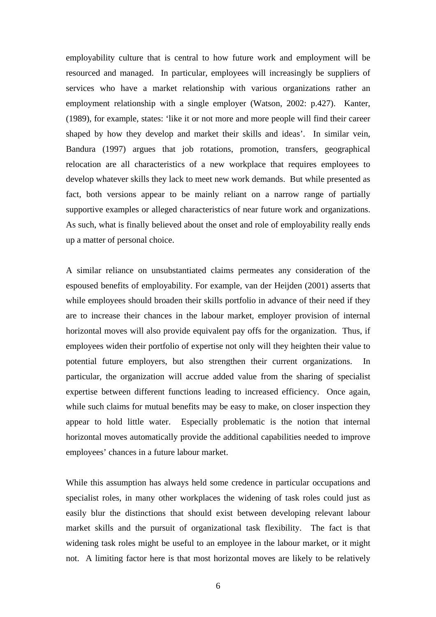employability culture that is central to how future work and employment will be resourced and managed. In particular, employees will increasingly be suppliers of services who have a market relationship with various organizations rather an employment relationship with a single employer (Watson, 2002: p.427). Kanter, (1989), for example, states: 'like it or not more and more people will find their career shaped by how they develop and market their skills and ideas'. In similar vein, Bandura (1997) argues that job rotations, promotion, transfers, geographical relocation are all characteristics of a new workplace that requires employees to develop whatever skills they lack to meet new work demands. But while presented as fact, both versions appear to be mainly reliant on a narrow range of partially supportive examples or alleged characteristics of near future work and organizations. As such, what is finally believed about the onset and role of employability really ends up a matter of personal choice.

A similar reliance on unsubstantiated claims permeates any consideration of the espoused benefits of employability. For example, van der Heijden (2001) asserts that while employees should broaden their skills portfolio in advance of their need if they are to increase their chances in the labour market, employer provision of internal horizontal moves will also provide equivalent pay offs for the organization. Thus, if employees widen their portfolio of expertise not only will they heighten their value to potential future employers, but also strengthen their current organizations. In particular, the organization will accrue added value from the sharing of specialist expertise between different functions leading to increased efficiency. Once again, while such claims for mutual benefits may be easy to make, on closer inspection they appear to hold little water. Especially problematic is the notion that internal horizontal moves automatically provide the additional capabilities needed to improve employees' chances in a future labour market.

While this assumption has always held some credence in particular occupations and specialist roles, in many other workplaces the widening of task roles could just as easily blur the distinctions that should exist between developing relevant labour market skills and the pursuit of organizational task flexibility. The fact is that widening task roles might be useful to an employee in the labour market, or it might not. A limiting factor here is that most horizontal moves are likely to be relatively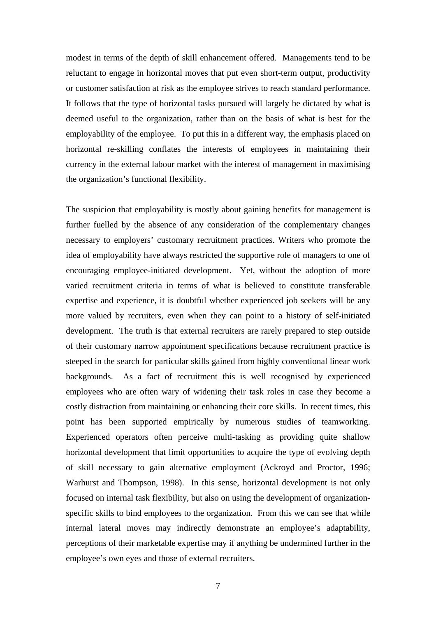modest in terms of the depth of skill enhancement offered. Managements tend to be reluctant to engage in horizontal moves that put even short-term output, productivity or customer satisfaction at risk as the employee strives to reach standard performance. It follows that the type of horizontal tasks pursued will largely be dictated by what is deemed useful to the organization, rather than on the basis of what is best for the employability of the employee. To put this in a different way, the emphasis placed on horizontal re-skilling conflates the interests of employees in maintaining their currency in the external labour market with the interest of management in maximising the organization's functional flexibility.

The suspicion that employability is mostly about gaining benefits for management is further fuelled by the absence of any consideration of the complementary changes necessary to employers' customary recruitment practices. Writers who promote the idea of employability have always restricted the supportive role of managers to one of encouraging employee-initiated development. Yet, without the adoption of more varied recruitment criteria in terms of what is believed to constitute transferable expertise and experience, it is doubtful whether experienced job seekers will be any more valued by recruiters, even when they can point to a history of self-initiated development. The truth is that external recruiters are rarely prepared to step outside of their customary narrow appointment specifications because recruitment practice is steeped in the search for particular skills gained from highly conventional linear work backgrounds. As a fact of recruitment this is well recognised by experienced employees who are often wary of widening their task roles in case they become a costly distraction from maintaining or enhancing their core skills. In recent times, this point has been supported empirically by numerous studies of teamworking. Experienced operators often perceive multi-tasking as providing quite shallow horizontal development that limit opportunities to acquire the type of evolving depth of skill necessary to gain alternative employment (Ackroyd and Proctor, 1996; Warhurst and Thompson, 1998). In this sense, horizontal development is not only focused on internal task flexibility, but also on using the development of organizationspecific skills to bind employees to the organization. From this we can see that while internal lateral moves may indirectly demonstrate an employee's adaptability, perceptions of their marketable expertise may if anything be undermined further in the employee's own eyes and those of external recruiters.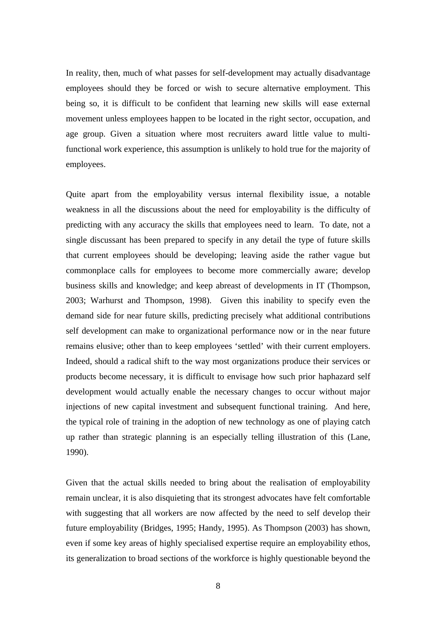In reality, then, much of what passes for self-development may actually disadvantage employees should they be forced or wish to secure alternative employment. This being so, it is difficult to be confident that learning new skills will ease external movement unless employees happen to be located in the right sector, occupation, and age group. Given a situation where most recruiters award little value to multifunctional work experience, this assumption is unlikely to hold true for the majority of employees.

Quite apart from the employability versus internal flexibility issue, a notable weakness in all the discussions about the need for employability is the difficulty of predicting with any accuracy the skills that employees need to learn. To date, not a single discussant has been prepared to specify in any detail the type of future skills that current employees should be developing; leaving aside the rather vague but commonplace calls for employees to become more commercially aware; develop business skills and knowledge; and keep abreast of developments in IT (Thompson, 2003; Warhurst and Thompson, 1998). Given this inability to specify even the demand side for near future skills, predicting precisely what additional contributions self development can make to organizational performance now or in the near future remains elusive; other than to keep employees 'settled' with their current employers. Indeed, should a radical shift to the way most organizations produce their services or products become necessary, it is difficult to envisage how such prior haphazard self development would actually enable the necessary changes to occur without major injections of new capital investment and subsequent functional training. And here, the typical role of training in the adoption of new technology as one of playing catch up rather than strategic planning is an especially telling illustration of this (Lane, 1990).

Given that the actual skills needed to bring about the realisation of employability remain unclear, it is also disquieting that its strongest advocates have felt comfortable with suggesting that all workers are now affected by the need to self develop their future employability (Bridges, 1995; Handy, 1995). As Thompson (2003) has shown, even if some key areas of highly specialised expertise require an employability ethos, its generalization to broad sections of the workforce is highly questionable beyond the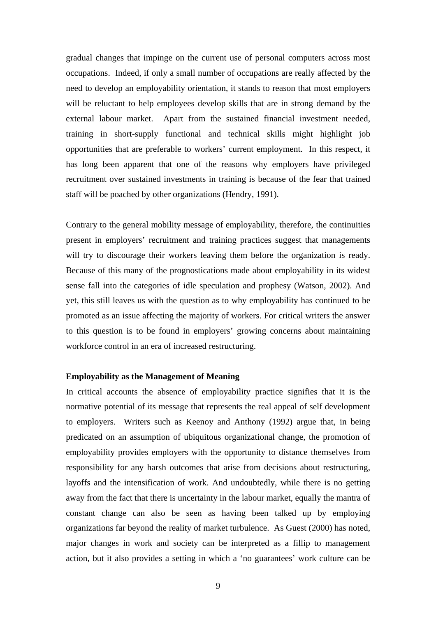gradual changes that impinge on the current use of personal computers across most occupations. Indeed, if only a small number of occupations are really affected by the need to develop an employability orientation, it stands to reason that most employers will be reluctant to help employees develop skills that are in strong demand by the external labour market. Apart from the sustained financial investment needed, training in short-supply functional and technical skills might highlight job opportunities that are preferable to workers' current employment. In this respect, it has long been apparent that one of the reasons why employers have privileged recruitment over sustained investments in training is because of the fear that trained staff will be poached by other organizations (Hendry, 1991).

Contrary to the general mobility message of employability, therefore, the continuities present in employers' recruitment and training practices suggest that managements will try to discourage their workers leaving them before the organization is ready. Because of this many of the prognostications made about employability in its widest sense fall into the categories of idle speculation and prophesy (Watson, 2002). And yet, this still leaves us with the question as to why employability has continued to be promoted as an issue affecting the majority of workers. For critical writers the answer to this question is to be found in employers' growing concerns about maintaining workforce control in an era of increased restructuring.

## **Employability as the Management of Meaning**

In critical accounts the absence of employability practice signifies that it is the normative potential of its message that represents the real appeal of self development to employers. Writers such as Keenoy and Anthony (1992) argue that, in being predicated on an assumption of ubiquitous organizational change, the promotion of employability provides employers with the opportunity to distance themselves from responsibility for any harsh outcomes that arise from decisions about restructuring, layoffs and the intensification of work. And undoubtedly, while there is no getting away from the fact that there is uncertainty in the labour market, equally the mantra of constant change can also be seen as having been talked up by employing organizations far beyond the reality of market turbulence. As Guest (2000) has noted, major changes in work and society can be interpreted as a fillip to management action, but it also provides a setting in which a 'no guarantees' work culture can be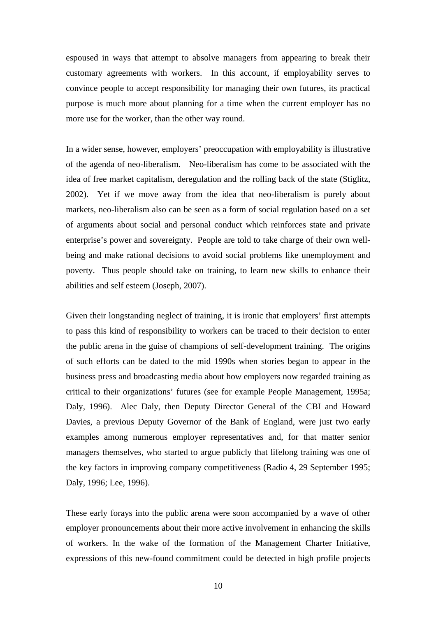espoused in ways that attempt to absolve managers from appearing to break their customary agreements with workers. In this account, if employability serves to convince people to accept responsibility for managing their own futures, its practical purpose is much more about planning for a time when the current employer has no more use for the worker, than the other way round.

In a wider sense, however, employers' preoccupation with employability is illustrative of the agenda of neo-liberalism. Neo-liberalism has come to be associated with the idea of free market capitalism, deregulation and the rolling back of the state (Stiglitz, 2002). Yet if we move away from the idea that neo-liberalism is purely about markets, neo-liberalism also can be seen as a form of social regulation based on a set of arguments about social and personal conduct which reinforces state and private enterprise's power and sovereignty. People are told to take charge of their own wellbeing and make rational decisions to avoid social problems like unemployment and poverty. Thus people should take on training, to learn new skills to enhance their abilities and self esteem (Joseph, 2007).

Given their longstanding neglect of training, it is ironic that employers' first attempts to pass this kind of responsibility to workers can be traced to their decision to enter the public arena in the guise of champions of self-development training. The origins of such efforts can be dated to the mid 1990s when stories began to appear in the business press and broadcasting media about how employers now regarded training as critical to their organizations' futures (see for example People Management, 1995a; Daly, 1996). Alec Daly, then Deputy Director General of the CBI and Howard Davies, a previous Deputy Governor of the Bank of England, were just two early examples among numerous employer representatives and, for that matter senior managers themselves, who started to argue publicly that lifelong training was one of the key factors in improving company competitiveness (Radio 4, 29 September 1995; Daly, 1996; Lee, 1996).

These early forays into the public arena were soon accompanied by a wave of other employer pronouncements about their more active involvement in enhancing the skills of workers. In the wake of the formation of the Management Charter Initiative, expressions of this new-found commitment could be detected in high profile projects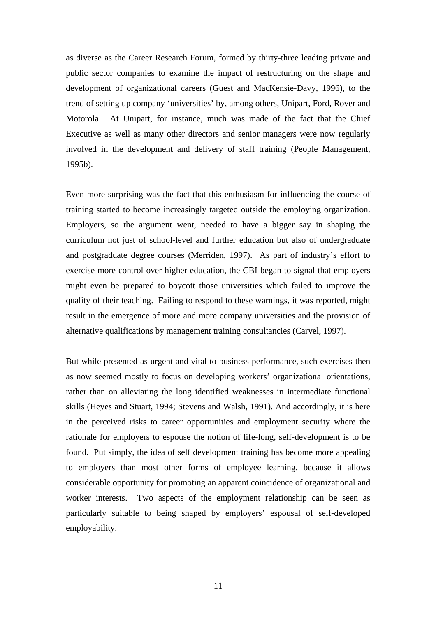as diverse as the Career Research Forum, formed by thirty-three leading private and public sector companies to examine the impact of restructuring on the shape and development of organizational careers (Guest and MacKensie-Davy, 1996), to the trend of setting up company 'universities' by, among others, Unipart, Ford, Rover and Motorola. At Unipart, for instance, much was made of the fact that the Chief Executive as well as many other directors and senior managers were now regularly involved in the development and delivery of staff training (People Management, 1995b).

Even more surprising was the fact that this enthusiasm for influencing the course of training started to become increasingly targeted outside the employing organization. Employers, so the argument went, needed to have a bigger say in shaping the curriculum not just of school-level and further education but also of undergraduate and postgraduate degree courses (Merriden, 1997). As part of industry's effort to exercise more control over higher education, the CBI began to signal that employers might even be prepared to boycott those universities which failed to improve the quality of their teaching. Failing to respond to these warnings, it was reported, might result in the emergence of more and more company universities and the provision of alternative qualifications by management training consultancies (Carvel, 1997).

But while presented as urgent and vital to business performance, such exercises then as now seemed mostly to focus on developing workers' organizational orientations, rather than on alleviating the long identified weaknesses in intermediate functional skills (Heyes and Stuart, 1994; Stevens and Walsh, 1991). And accordingly, it is here in the perceived risks to career opportunities and employment security where the rationale for employers to espouse the notion of life-long, self-development is to be found. Put simply, the idea of self development training has become more appealing to employers than most other forms of employee learning, because it allows considerable opportunity for promoting an apparent coincidence of organizational and worker interests. Two aspects of the employment relationship can be seen as particularly suitable to being shaped by employers' espousal of self-developed employability.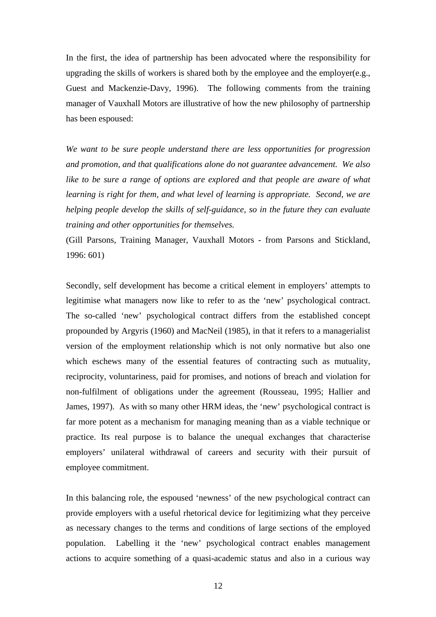In the first, the idea of partnership has been advocated where the responsibility for upgrading the skills of workers is shared both by the employee and the employer(e.g., Guest and Mackenzie-Davy, 1996). The following comments from the training manager of Vauxhall Motors are illustrative of how the new philosophy of partnership has been espoused:

*We want to be sure people understand there are less opportunities for progression and promotion, and that qualifications alone do not guarantee advancement. We also*  like to be sure a range of options are explored and that people are aware of what *learning is right for them, and what level of learning is appropriate. Second, we are helping people develop the skills of self-guidance, so in the future they can evaluate training and other opportunities for themselves.* 

(Gill Parsons, Training Manager, Vauxhall Motors - from Parsons and Stickland, 1996: 601)

Secondly, self development has become a critical element in employers' attempts to legitimise what managers now like to refer to as the 'new' psychological contract. The so-called 'new' psychological contract differs from the established concept propounded by Argyris (1960) and MacNeil (1985), in that it refers to a managerialist version of the employment relationship which is not only normative but also one which eschews many of the essential features of contracting such as mutuality, reciprocity, voluntariness, paid for promises, and notions of breach and violation for non-fulfilment of obligations under the agreement (Rousseau, 1995; Hallier and James, 1997). As with so many other HRM ideas, the 'new' psychological contract is far more potent as a mechanism for managing meaning than as a viable technique or practice. Its real purpose is to balance the unequal exchanges that characterise employers' unilateral withdrawal of careers and security with their pursuit of employee commitment.

In this balancing role, the espoused 'newness' of the new psychological contract can provide employers with a useful rhetorical device for legitimizing what they perceive as necessary changes to the terms and conditions of large sections of the employed population. Labelling it the 'new' psychological contract enables management actions to acquire something of a quasi-academic status and also in a curious way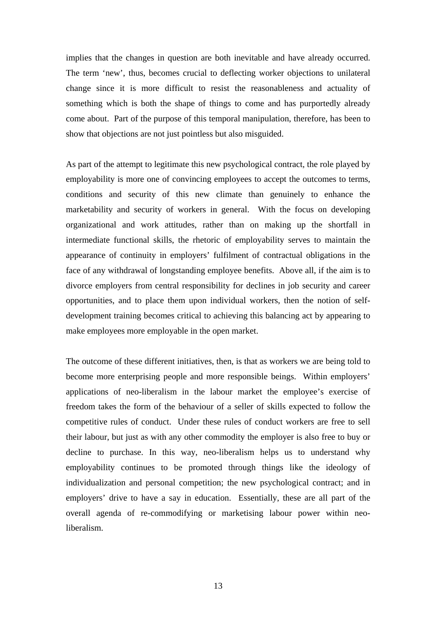implies that the changes in question are both inevitable and have already occurred. The term 'new', thus, becomes crucial to deflecting worker objections to unilateral change since it is more difficult to resist the reasonableness and actuality of something which is both the shape of things to come and has purportedly already come about. Part of the purpose of this temporal manipulation, therefore, has been to show that objections are not just pointless but also misguided.

As part of the attempt to legitimate this new psychological contract, the role played by employability is more one of convincing employees to accept the outcomes to terms, conditions and security of this new climate than genuinely to enhance the marketability and security of workers in general. With the focus on developing organizational and work attitudes, rather than on making up the shortfall in intermediate functional skills, the rhetoric of employability serves to maintain the appearance of continuity in employers' fulfilment of contractual obligations in the face of any withdrawal of longstanding employee benefits. Above all, if the aim is to divorce employers from central responsibility for declines in job security and career opportunities, and to place them upon individual workers, then the notion of selfdevelopment training becomes critical to achieving this balancing act by appearing to make employees more employable in the open market.

The outcome of these different initiatives, then, is that as workers we are being told to become more enterprising people and more responsible beings. Within employers' applications of neo-liberalism in the labour market the employee's exercise of freedom takes the form of the behaviour of a seller of skills expected to follow the competitive rules of conduct. Under these rules of conduct workers are free to sell their labour, but just as with any other commodity the employer is also free to buy or decline to purchase. In this way, neo-liberalism helps us to understand why employability continues to be promoted through things like the ideology of individualization and personal competition; the new psychological contract; and in employers' drive to have a say in education. Essentially, these are all part of the overall agenda of re-commodifying or marketising labour power within neoliberalism.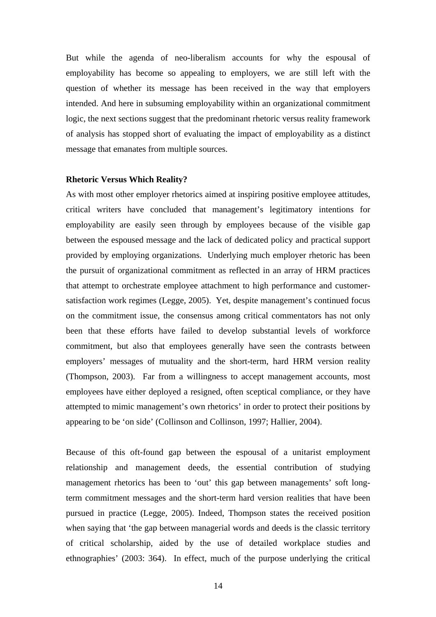But while the agenda of neo-liberalism accounts for why the espousal of employability has become so appealing to employers, we are still left with the question of whether its message has been received in the way that employers intended. And here in subsuming employability within an organizational commitment logic, the next sections suggest that the predominant rhetoric versus reality framework of analysis has stopped short of evaluating the impact of employability as a distinct message that emanates from multiple sources.

## **Rhetoric Versus Which Reality?**

As with most other employer rhetorics aimed at inspiring positive employee attitudes, critical writers have concluded that management's legitimatory intentions for employability are easily seen through by employees because of the visible gap between the espoused message and the lack of dedicated policy and practical support provided by employing organizations. Underlying much employer rhetoric has been the pursuit of organizational commitment as reflected in an array of HRM practices that attempt to orchestrate employee attachment to high performance and customersatisfaction work regimes (Legge, 2005). Yet, despite management's continued focus on the commitment issue, the consensus among critical commentators has not only been that these efforts have failed to develop substantial levels of workforce commitment, but also that employees generally have seen the contrasts between employers' messages of mutuality and the short-term, hard HRM version reality (Thompson, 2003). Far from a willingness to accept management accounts, most employees have either deployed a resigned, often sceptical compliance, or they have attempted to mimic management's own rhetorics' in order to protect their positions by appearing to be 'on side' (Collinson and Collinson, 1997; Hallier, 2004).

Because of this oft-found gap between the espousal of a unitarist employment relationship and management deeds, the essential contribution of studying management rhetorics has been to 'out' this gap between managements' soft longterm commitment messages and the short-term hard version realities that have been pursued in practice (Legge, 2005). Indeed, Thompson states the received position when saying that 'the gap between managerial words and deeds is the classic territory of critical scholarship, aided by the use of detailed workplace studies and ethnographies' (2003: 364). In effect, much of the purpose underlying the critical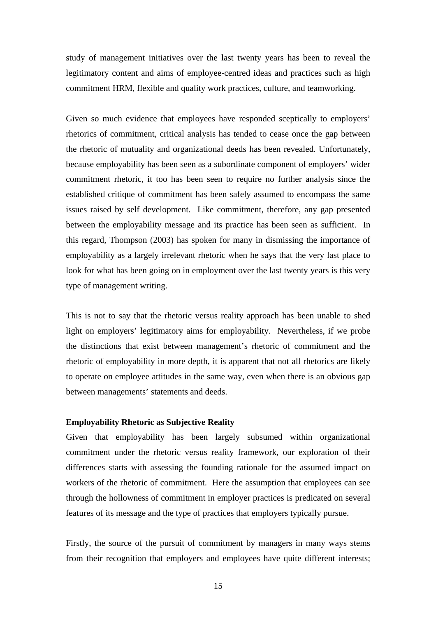study of management initiatives over the last twenty years has been to reveal the legitimatory content and aims of employee-centred ideas and practices such as high commitment HRM, flexible and quality work practices, culture, and teamworking.

Given so much evidence that employees have responded sceptically to employers' rhetorics of commitment, critical analysis has tended to cease once the gap between the rhetoric of mutuality and organizational deeds has been revealed. Unfortunately, because employability has been seen as a subordinate component of employers' wider commitment rhetoric, it too has been seen to require no further analysis since the established critique of commitment has been safely assumed to encompass the same issues raised by self development. Like commitment, therefore, any gap presented between the employability message and its practice has been seen as sufficient. In this regard, Thompson (2003) has spoken for many in dismissing the importance of employability as a largely irrelevant rhetoric when he says that the very last place to look for what has been going on in employment over the last twenty years is this very type of management writing.

This is not to say that the rhetoric versus reality approach has been unable to shed light on employers' legitimatory aims for employability. Nevertheless, if we probe the distinctions that exist between management's rhetoric of commitment and the rhetoric of employability in more depth, it is apparent that not all rhetorics are likely to operate on employee attitudes in the same way, even when there is an obvious gap between managements' statements and deeds.

## **Employability Rhetoric as Subjective Reality**

Given that employability has been largely subsumed within organizational commitment under the rhetoric versus reality framework, our exploration of their differences starts with assessing the founding rationale for the assumed impact on workers of the rhetoric of commitment. Here the assumption that employees can see through the hollowness of commitment in employer practices is predicated on several features of its message and the type of practices that employers typically pursue.

Firstly, the source of the pursuit of commitment by managers in many ways stems from their recognition that employers and employees have quite different interests;

15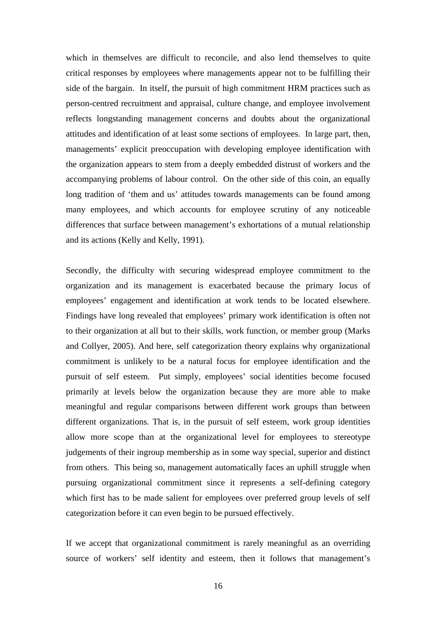which in themselves are difficult to reconcile, and also lend themselves to quite critical responses by employees where managements appear not to be fulfilling their side of the bargain. In itself, the pursuit of high commitment HRM practices such as person-centred recruitment and appraisal, culture change, and employee involvement reflects longstanding management concerns and doubts about the organizational attitudes and identification of at least some sections of employees. In large part, then, managements' explicit preoccupation with developing employee identification with the organization appears to stem from a deeply embedded distrust of workers and the accompanying problems of labour control. On the other side of this coin, an equally long tradition of 'them and us' attitudes towards managements can be found among many employees, and which accounts for employee scrutiny of any noticeable differences that surface between management's exhortations of a mutual relationship and its actions (Kelly and Kelly, 1991).

Secondly, the difficulty with securing widespread employee commitment to the organization and its management is exacerbated because the primary locus of employees' engagement and identification at work tends to be located elsewhere. Findings have long revealed that employees' primary work identification is often not to their organization at all but to their skills, work function, or member group (Marks and Collyer, 2005). And here, self categorization theory explains why organizational commitment is unlikely to be a natural focus for employee identification and the pursuit of self esteem. Put simply, employees' social identities become focused primarily at levels below the organization because they are more able to make meaningful and regular comparisons between different work groups than between different organizations. That is, in the pursuit of self esteem, work group identities allow more scope than at the organizational level for employees to stereotype judgements of their ingroup membership as in some way special, superior and distinct from others. This being so, management automatically faces an uphill struggle when pursuing organizational commitment since it represents a self-defining category which first has to be made salient for employees over preferred group levels of self categorization before it can even begin to be pursued effectively.

If we accept that organizational commitment is rarely meaningful as an overriding source of workers' self identity and esteem, then it follows that management's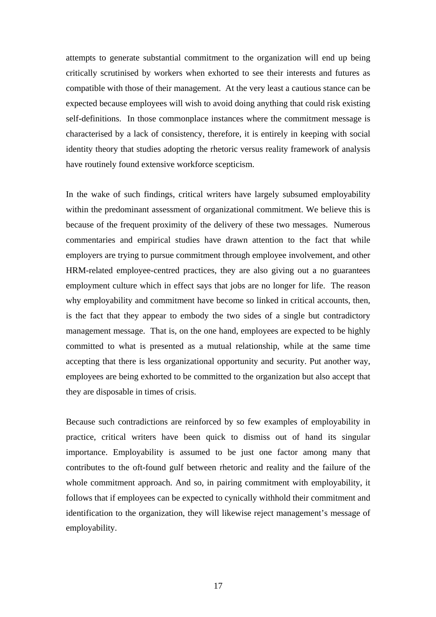attempts to generate substantial commitment to the organization will end up being critically scrutinised by workers when exhorted to see their interests and futures as compatible with those of their management. At the very least a cautious stance can be expected because employees will wish to avoid doing anything that could risk existing self-definitions. In those commonplace instances where the commitment message is characterised by a lack of consistency, therefore, it is entirely in keeping with social identity theory that studies adopting the rhetoric versus reality framework of analysis have routinely found extensive workforce scepticism.

In the wake of such findings, critical writers have largely subsumed employability within the predominant assessment of organizational commitment. We believe this is because of the frequent proximity of the delivery of these two messages. Numerous commentaries and empirical studies have drawn attention to the fact that while employers are trying to pursue commitment through employee involvement, and other HRM-related employee-centred practices, they are also giving out a no guarantees employment culture which in effect says that jobs are no longer for life. The reason why employability and commitment have become so linked in critical accounts, then, is the fact that they appear to embody the two sides of a single but contradictory management message. That is, on the one hand, employees are expected to be highly committed to what is presented as a mutual relationship, while at the same time accepting that there is less organizational opportunity and security. Put another way, employees are being exhorted to be committed to the organization but also accept that they are disposable in times of crisis.

Because such contradictions are reinforced by so few examples of employability in practice, critical writers have been quick to dismiss out of hand its singular importance. Employability is assumed to be just one factor among many that contributes to the oft-found gulf between rhetoric and reality and the failure of the whole commitment approach. And so, in pairing commitment with employability, it follows that if employees can be expected to cynically withhold their commitment and identification to the organization, they will likewise reject management's message of employability.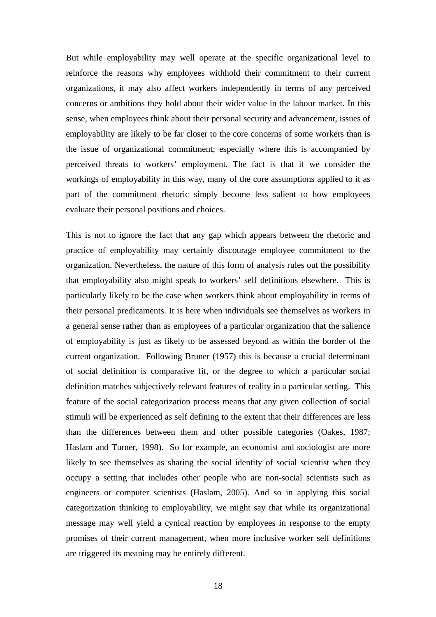But while employability may well operate at the specific organizational level to reinforce the reasons why employees withhold their commitment to their current organizations, it may also affect workers independently in terms of any perceived concerns or ambitions they hold about their wider value in the labour market. In this sense, when employees think about their personal security and advancement, issues of employability are likely to be far closer to the core concerns of some workers than is the issue of organizational commitment; especially where this is accompanied by perceived threats to workers' employment. The fact is that if we consider the workings of employability in this way, many of the core assumptions applied to it as part of the commitment rhetoric simply become less salient to how employees evaluate their personal positions and choices.

This is not to ignore the fact that any gap which appears between the rhetoric and practice of employability may certainly discourage employee commitment to the organization. Nevertheless, the nature of this form of analysis rules out the possibility that employability also might speak to workers' self definitions elsewhere. This is particularly likely to be the case when workers think about employability in terms of their personal predicaments. It is here when individuals see themselves as workers in a general sense rather than as employees of a particular organization that the salience of employability is just as likely to be assessed beyond as within the border of the current organization. Following Bruner (1957) this is because a crucial determinant of social definition is comparative fit, or the degree to which a particular social definition matches subjectively relevant features of reality in a particular setting. This feature of the social categorization process means that any given collection of social stimuli will be experienced as self defining to the extent that their differences are less than the differences between them and other possible categories (Oakes, 1987; Haslam and Turner, 1998). So for example, an economist and sociologist are more likely to see themselves as sharing the social identity of social scientist when they occupy a setting that includes other people who are non-social scientists such as engineers or computer scientists (Haslam, 2005). And so in applying this social categorization thinking to employability, we might say that while its organizational message may well yield a cynical reaction by employees in response to the empty promises of their current management, when more inclusive worker self definitions are triggered its meaning may be entirely different.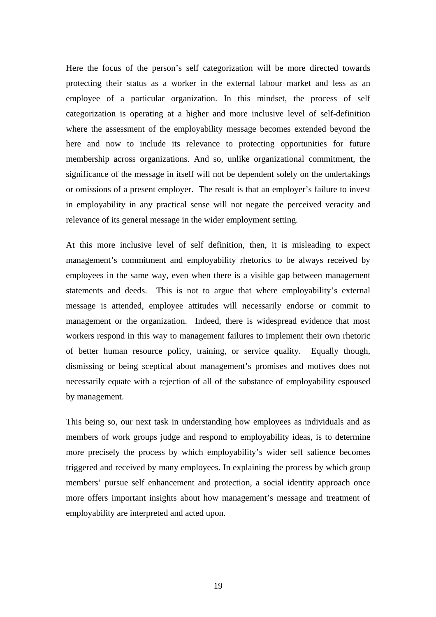Here the focus of the person's self categorization will be more directed towards protecting their status as a worker in the external labour market and less as an employee of a particular organization. In this mindset, the process of self categorization is operating at a higher and more inclusive level of self-definition where the assessment of the employability message becomes extended beyond the here and now to include its relevance to protecting opportunities for future membership across organizations. And so, unlike organizational commitment, the significance of the message in itself will not be dependent solely on the undertakings or omissions of a present employer. The result is that an employer's failure to invest in employability in any practical sense will not negate the perceived veracity and relevance of its general message in the wider employment setting.

At this more inclusive level of self definition, then, it is misleading to expect management's commitment and employability rhetorics to be always received by employees in the same way, even when there is a visible gap between management statements and deeds. This is not to argue that where employability's external message is attended, employee attitudes will necessarily endorse or commit to management or the organization. Indeed, there is widespread evidence that most workers respond in this way to management failures to implement their own rhetoric of better human resource policy, training, or service quality. Equally though, dismissing or being sceptical about management's promises and motives does not necessarily equate with a rejection of all of the substance of employability espoused by management.

This being so, our next task in understanding how employees as individuals and as members of work groups judge and respond to employability ideas, is to determine more precisely the process by which employability's wider self salience becomes triggered and received by many employees. In explaining the process by which group members' pursue self enhancement and protection, a social identity approach once more offers important insights about how management's message and treatment of employability are interpreted and acted upon.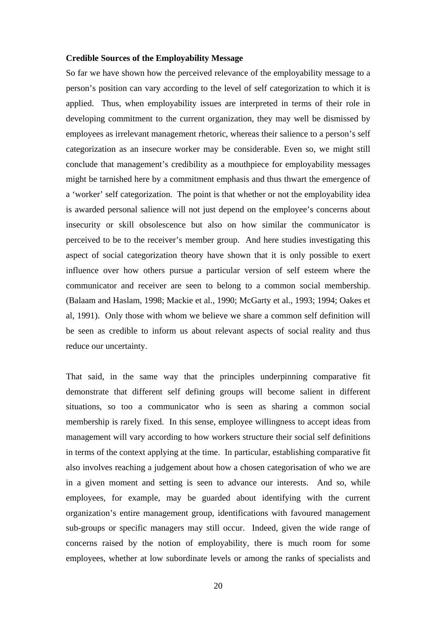## **Credible Sources of the Employability Message**

So far we have shown how the perceived relevance of the employability message to a person's position can vary according to the level of self categorization to which it is applied. Thus, when employability issues are interpreted in terms of their role in developing commitment to the current organization, they may well be dismissed by employees as irrelevant management rhetoric, whereas their salience to a person's self categorization as an insecure worker may be considerable. Even so, we might still conclude that management's credibility as a mouthpiece for employability messages might be tarnished here by a commitment emphasis and thus thwart the emergence of a 'worker' self categorization. The point is that whether or not the employability idea is awarded personal salience will not just depend on the employee's concerns about insecurity or skill obsolescence but also on how similar the communicator is perceived to be to the receiver's member group. And here studies investigating this aspect of social categorization theory have shown that it is only possible to exert influence over how others pursue a particular version of self esteem where the communicator and receiver are seen to belong to a common social membership. (Balaam and Haslam, 1998; Mackie et al., 1990; McGarty et al., 1993; 1994; Oakes et al, 1991). Only those with whom we believe we share a common self definition will be seen as credible to inform us about relevant aspects of social reality and thus reduce our uncertainty.

That said, in the same way that the principles underpinning comparative fit demonstrate that different self defining groups will become salient in different situations, so too a communicator who is seen as sharing a common social membership is rarely fixed. In this sense, employee willingness to accept ideas from management will vary according to how workers structure their social self definitions in terms of the context applying at the time. In particular, establishing comparative fit also involves reaching a judgement about how a chosen categorisation of who we are in a given moment and setting is seen to advance our interests. And so, while employees, for example, may be guarded about identifying with the current organization's entire management group, identifications with favoured management sub-groups or specific managers may still occur. Indeed, given the wide range of concerns raised by the notion of employability, there is much room for some employees, whether at low subordinate levels or among the ranks of specialists and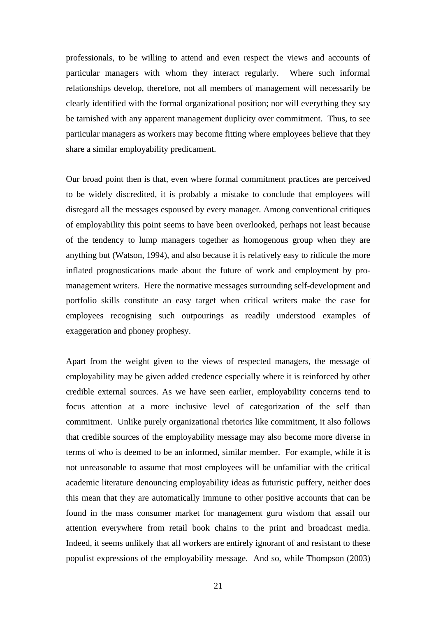professionals, to be willing to attend and even respect the views and accounts of particular managers with whom they interact regularly. Where such informal relationships develop, therefore, not all members of management will necessarily be clearly identified with the formal organizational position; nor will everything they say be tarnished with any apparent management duplicity over commitment. Thus, to see particular managers as workers may become fitting where employees believe that they share a similar employability predicament.

Our broad point then is that, even where formal commitment practices are perceived to be widely discredited, it is probably a mistake to conclude that employees will disregard all the messages espoused by every manager. Among conventional critiques of employability this point seems to have been overlooked, perhaps not least because of the tendency to lump managers together as homogenous group when they are anything but (Watson, 1994), and also because it is relatively easy to ridicule the more inflated prognostications made about the future of work and employment by promanagement writers. Here the normative messages surrounding self-development and portfolio skills constitute an easy target when critical writers make the case for employees recognising such outpourings as readily understood examples of exaggeration and phoney prophesy.

Apart from the weight given to the views of respected managers, the message of employability may be given added credence especially where it is reinforced by other credible external sources. As we have seen earlier, employability concerns tend to focus attention at a more inclusive level of categorization of the self than commitment. Unlike purely organizational rhetorics like commitment, it also follows that credible sources of the employability message may also become more diverse in terms of who is deemed to be an informed, similar member. For example, while it is not unreasonable to assume that most employees will be unfamiliar with the critical academic literature denouncing employability ideas as futuristic puffery, neither does this mean that they are automatically immune to other positive accounts that can be found in the mass consumer market for management guru wisdom that assail our attention everywhere from retail book chains to the print and broadcast media. Indeed, it seems unlikely that all workers are entirely ignorant of and resistant to these populist expressions of the employability message. And so, while Thompson (2003)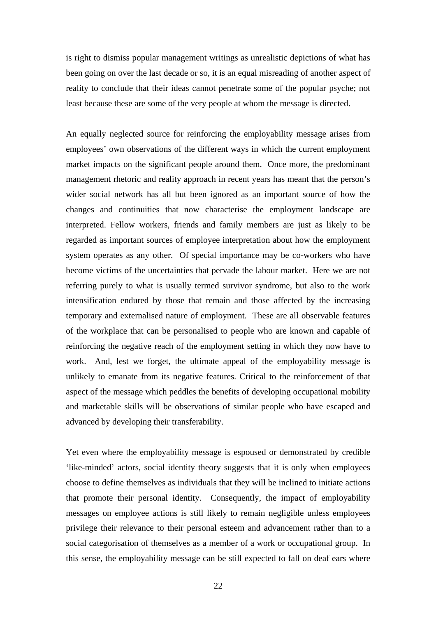is right to dismiss popular management writings as unrealistic depictions of what has been going on over the last decade or so, it is an equal misreading of another aspect of reality to conclude that their ideas cannot penetrate some of the popular psyche; not least because these are some of the very people at whom the message is directed.

An equally neglected source for reinforcing the employability message arises from employees' own observations of the different ways in which the current employment market impacts on the significant people around them. Once more, the predominant management rhetoric and reality approach in recent years has meant that the person's wider social network has all but been ignored as an important source of how the changes and continuities that now characterise the employment landscape are interpreted. Fellow workers, friends and family members are just as likely to be regarded as important sources of employee interpretation about how the employment system operates as any other. Of special importance may be co-workers who have become victims of the uncertainties that pervade the labour market. Here we are not referring purely to what is usually termed survivor syndrome, but also to the work intensification endured by those that remain and those affected by the increasing temporary and externalised nature of employment. These are all observable features of the workplace that can be personalised to people who are known and capable of reinforcing the negative reach of the employment setting in which they now have to work. And, lest we forget, the ultimate appeal of the employability message is unlikely to emanate from its negative features. Critical to the reinforcement of that aspect of the message which peddles the benefits of developing occupational mobility and marketable skills will be observations of similar people who have escaped and advanced by developing their transferability.

Yet even where the employability message is espoused or demonstrated by credible 'like-minded' actors, social identity theory suggests that it is only when employees choose to define themselves as individuals that they will be inclined to initiate actions that promote their personal identity. Consequently, the impact of employability messages on employee actions is still likely to remain negligible unless employees privilege their relevance to their personal esteem and advancement rather than to a social categorisation of themselves as a member of a work or occupational group. In this sense, the employability message can be still expected to fall on deaf ears where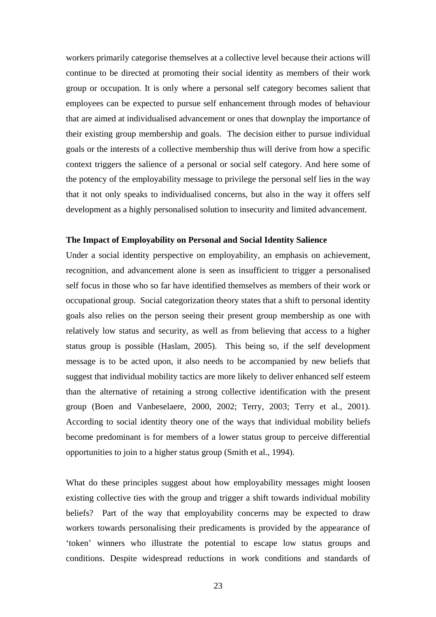workers primarily categorise themselves at a collective level because their actions will continue to be directed at promoting their social identity as members of their work group or occupation. It is only where a personal self category becomes salient that employees can be expected to pursue self enhancement through modes of behaviour that are aimed at individualised advancement or ones that downplay the importance of their existing group membership and goals. The decision either to pursue individual goals or the interests of a collective membership thus will derive from how a specific context triggers the salience of a personal or social self category. And here some of the potency of the employability message to privilege the personal self lies in the way that it not only speaks to individualised concerns, but also in the way it offers self development as a highly personalised solution to insecurity and limited advancement.

## **The Impact of Employability on Personal and Social Identity Salience**

Under a social identity perspective on employability, an emphasis on achievement, recognition, and advancement alone is seen as insufficient to trigger a personalised self focus in those who so far have identified themselves as members of their work or occupational group. Social categorization theory states that a shift to personal identity goals also relies on the person seeing their present group membership as one with relatively low status and security, as well as from believing that access to a higher status group is possible (Haslam, 2005). This being so, if the self development message is to be acted upon, it also needs to be accompanied by new beliefs that suggest that individual mobility tactics are more likely to deliver enhanced self esteem than the alternative of retaining a strong collective identification with the present group (Boen and Vanbeselaere, 2000, 2002; Terry, 2003; Terry et al., 2001). According to social identity theory one of the ways that individual mobility beliefs become predominant is for members of a lower status group to perceive differential opportunities to join to a higher status group (Smith et al., 1994).

What do these principles suggest about how employability messages might loosen existing collective ties with the group and trigger a shift towards individual mobility beliefs? Part of the way that employability concerns may be expected to draw workers towards personalising their predicaments is provided by the appearance of 'token' winners who illustrate the potential to escape low status groups and conditions. Despite widespread reductions in work conditions and standards of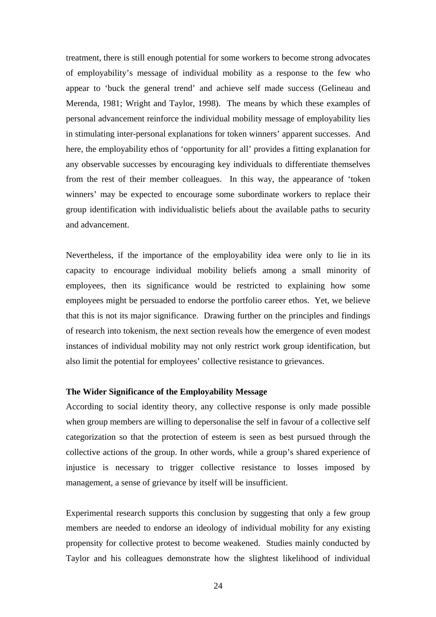treatment, there is still enough potential for some workers to become strong advocates of employability's message of individual mobility as a response to the few who appear to 'buck the general trend' and achieve self made success (Gelineau and Merenda, 1981; Wright and Taylor, 1998). The means by which these examples of personal advancement reinforce the individual mobility message of employability lies in stimulating inter-personal explanations for token winners' apparent successes. And here, the employability ethos of 'opportunity for all' provides a fitting explanation for any observable successes by encouraging key individuals to differentiate themselves from the rest of their member colleagues. In this way, the appearance of 'token winners' may be expected to encourage some subordinate workers to replace their group identification with individualistic beliefs about the available paths to security and advancement.

Nevertheless, if the importance of the employability idea were only to lie in its capacity to encourage individual mobility beliefs among a small minority of employees, then its significance would be restricted to explaining how some employees might be persuaded to endorse the portfolio career ethos. Yet, we believe that this is not its major significance. Drawing further on the principles and findings of research into tokenism, the next section reveals how the emergence of even modest instances of individual mobility may not only restrict work group identification, but also limit the potential for employees' collective resistance to grievances.

#### **The Wider Significance of the Employability Message**

According to social identity theory, any collective response is only made possible when group members are willing to depersonalise the self in favour of a collective self categorization so that the protection of esteem is seen as best pursued through the collective actions of the group. In other words, while a group's shared experience of injustice is necessary to trigger collective resistance to losses imposed by management, a sense of grievance by itself will be insufficient.

Experimental research supports this conclusion by suggesting that only a few group members are needed to endorse an ideology of individual mobility for any existing propensity for collective protest to become weakened. Studies mainly conducted by Taylor and his colleagues demonstrate how the slightest likelihood of individual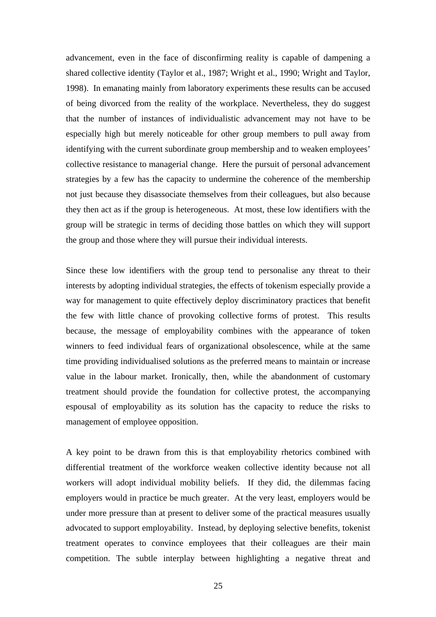advancement, even in the face of disconfirming reality is capable of dampening a shared collective identity (Taylor et al., 1987; Wright et al., 1990; Wright and Taylor, 1998). In emanating mainly from laboratory experiments these results can be accused of being divorced from the reality of the workplace. Nevertheless, they do suggest that the number of instances of individualistic advancement may not have to be especially high but merely noticeable for other group members to pull away from identifying with the current subordinate group membership and to weaken employees' collective resistance to managerial change. Here the pursuit of personal advancement strategies by a few has the capacity to undermine the coherence of the membership not just because they disassociate themselves from their colleagues, but also because they then act as if the group is heterogeneous. At most, these low identifiers with the group will be strategic in terms of deciding those battles on which they will support the group and those where they will pursue their individual interests.

Since these low identifiers with the group tend to personalise any threat to their interests by adopting individual strategies, the effects of tokenism especially provide a way for management to quite effectively deploy discriminatory practices that benefit the few with little chance of provoking collective forms of protest. This results because, the message of employability combines with the appearance of token winners to feed individual fears of organizational obsolescence, while at the same time providing individualised solutions as the preferred means to maintain or increase value in the labour market. Ironically, then, while the abandonment of customary treatment should provide the foundation for collective protest, the accompanying espousal of employability as its solution has the capacity to reduce the risks to management of employee opposition.

A key point to be drawn from this is that employability rhetorics combined with differential treatment of the workforce weaken collective identity because not all workers will adopt individual mobility beliefs. If they did, the dilemmas facing employers would in practice be much greater. At the very least, employers would be under more pressure than at present to deliver some of the practical measures usually advocated to support employability. Instead, by deploying selective benefits, tokenist treatment operates to convince employees that their colleagues are their main competition. The subtle interplay between highlighting a negative threat and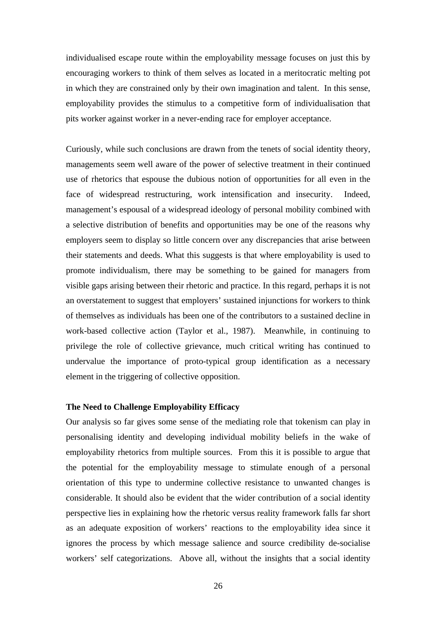individualised escape route within the employability message focuses on just this by encouraging workers to think of them selves as located in a meritocratic melting pot in which they are constrained only by their own imagination and talent. In this sense, employability provides the stimulus to a competitive form of individualisation that pits worker against worker in a never-ending race for employer acceptance.

Curiously, while such conclusions are drawn from the tenets of social identity theory, managements seem well aware of the power of selective treatment in their continued use of rhetorics that espouse the dubious notion of opportunities for all even in the face of widespread restructuring, work intensification and insecurity. Indeed, management's espousal of a widespread ideology of personal mobility combined with a selective distribution of benefits and opportunities may be one of the reasons why employers seem to display so little concern over any discrepancies that arise between their statements and deeds. What this suggests is that where employability is used to promote individualism, there may be something to be gained for managers from visible gaps arising between their rhetoric and practice. In this regard, perhaps it is not an overstatement to suggest that employers' sustained injunctions for workers to think of themselves as individuals has been one of the contributors to a sustained decline in work-based collective action (Taylor et al., 1987). Meanwhile, in continuing to privilege the role of collective grievance, much critical writing has continued to undervalue the importance of proto-typical group identification as a necessary element in the triggering of collective opposition.

## **The Need to Challenge Employability Efficacy**

Our analysis so far gives some sense of the mediating role that tokenism can play in personalising identity and developing individual mobility beliefs in the wake of employability rhetorics from multiple sources. From this it is possible to argue that the potential for the employability message to stimulate enough of a personal orientation of this type to undermine collective resistance to unwanted changes is considerable. It should also be evident that the wider contribution of a social identity perspective lies in explaining how the rhetoric versus reality framework falls far short as an adequate exposition of workers' reactions to the employability idea since it ignores the process by which message salience and source credibility de-socialise workers' self categorizations. Above all, without the insights that a social identity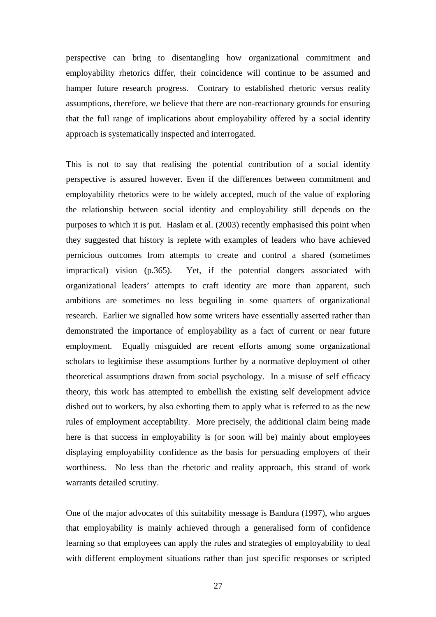perspective can bring to disentangling how organizational commitment and employability rhetorics differ, their coincidence will continue to be assumed and hamper future research progress. Contrary to established rhetoric versus reality assumptions, therefore, we believe that there are non-reactionary grounds for ensuring that the full range of implications about employability offered by a social identity approach is systematically inspected and interrogated.

This is not to say that realising the potential contribution of a social identity perspective is assured however. Even if the differences between commitment and employability rhetorics were to be widely accepted, much of the value of exploring the relationship between social identity and employability still depends on the purposes to which it is put. Haslam et al. (2003) recently emphasised this point when they suggested that history is replete with examples of leaders who have achieved pernicious outcomes from attempts to create and control a shared (sometimes impractical) vision (p.365). Yet, if the potential dangers associated with organizational leaders' attempts to craft identity are more than apparent, such ambitions are sometimes no less beguiling in some quarters of organizational research. Earlier we signalled how some writers have essentially asserted rather than demonstrated the importance of employability as a fact of current or near future employment. Equally misguided are recent efforts among some organizational scholars to legitimise these assumptions further by a normative deployment of other theoretical assumptions drawn from social psychology. In a misuse of self efficacy theory, this work has attempted to embellish the existing self development advice dished out to workers, by also exhorting them to apply what is referred to as the new rules of employment acceptability. More precisely, the additional claim being made here is that success in employability is (or soon will be) mainly about employees displaying employability confidence as the basis for persuading employers of their worthiness. No less than the rhetoric and reality approach, this strand of work warrants detailed scrutiny.

One of the major advocates of this suitability message is Bandura (1997), who argues that employability is mainly achieved through a generalised form of confidence learning so that employees can apply the rules and strategies of employability to deal with different employment situations rather than just specific responses or scripted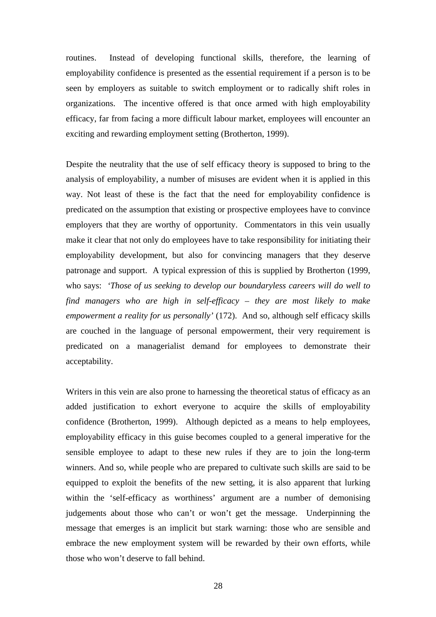routines. Instead of developing functional skills, therefore, the learning of employability confidence is presented as the essential requirement if a person is to be seen by employers as suitable to switch employment or to radically shift roles in organizations. The incentive offered is that once armed with high employability efficacy, far from facing a more difficult labour market, employees will encounter an exciting and rewarding employment setting (Brotherton, 1999).

Despite the neutrality that the use of self efficacy theory is supposed to bring to the analysis of employability, a number of misuses are evident when it is applied in this way. Not least of these is the fact that the need for employability confidence is predicated on the assumption that existing or prospective employees have to convince employers that they are worthy of opportunity. Commentators in this vein usually make it clear that not only do employees have to take responsibility for initiating their employability development, but also for convincing managers that they deserve patronage and support. A typical expression of this is supplied by Brotherton (1999, who says: *'Those of us seeking to develop our boundaryless careers will do well to find managers who are high in self-efficacy – they are most likely to make empowerment a reality for us personally'* (172). And so, although self efficacy skills are couched in the language of personal empowerment, their very requirement is predicated on a managerialist demand for employees to demonstrate their acceptability.

Writers in this vein are also prone to harnessing the theoretical status of efficacy as an added justification to exhort everyone to acquire the skills of employability confidence (Brotherton, 1999). Although depicted as a means to help employees, employability efficacy in this guise becomes coupled to a general imperative for the sensible employee to adapt to these new rules if they are to join the long-term winners. And so, while people who are prepared to cultivate such skills are said to be equipped to exploit the benefits of the new setting, it is also apparent that lurking within the 'self-efficacy as worthiness' argument are a number of demonising judgements about those who can't or won't get the message. Underpinning the message that emerges is an implicit but stark warning: those who are sensible and embrace the new employment system will be rewarded by their own efforts, while those who won't deserve to fall behind.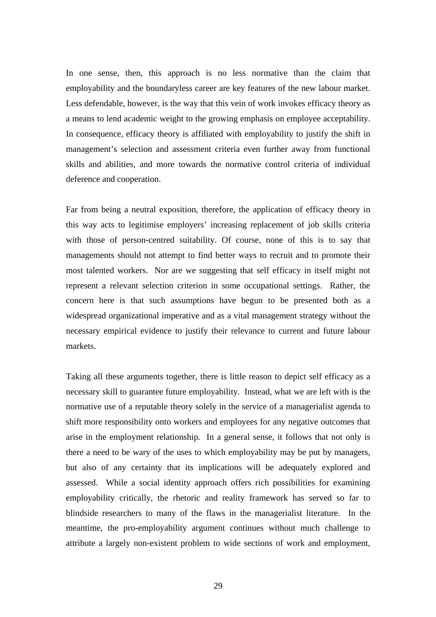In one sense, then, this approach is no less normative than the claim that employability and the boundaryless career are key features of the new labour market. Less defendable, however, is the way that this vein of work invokes efficacy theory as a means to lend academic weight to the growing emphasis on employee acceptability. In consequence, efficacy theory is affiliated with employability to justify the shift in management's selection and assessment criteria even further away from functional skills and abilities, and more towards the normative control criteria of individual deference and cooperation.

Far from being a neutral exposition, therefore, the application of efficacy theory in this way acts to legitimise employers' increasing replacement of job skills criteria with those of person-centred suitability. Of course, none of this is to say that managements should not attempt to find better ways to recruit and to promote their most talented workers. Nor are we suggesting that self efficacy in itself might not represent a relevant selection criterion in some occupational settings. Rather, the concern here is that such assumptions have begun to be presented both as a widespread organizational imperative and as a vital management strategy without the necessary empirical evidence to justify their relevance to current and future labour markets.

Taking all these arguments together, there is little reason to depict self efficacy as a necessary skill to guarantee future employability. Instead, what we are left with is the normative use of a reputable theory solely in the service of a managerialist agenda to shift more responsibility onto workers and employees for any negative outcomes that arise in the employment relationship. In a general sense, it follows that not only is there a need to be wary of the uses to which employability may be put by managers, but also of any certainty that its implications will be adequately explored and assessed. While a social identity approach offers rich possibilities for examining employability critically, the rhetoric and reality framework has served so far to blindside researchers to many of the flaws in the managerialist literature. In the meantime, the pro-employability argument continues without much challenge to attribute a largely non-existent problem to wide sections of work and employment,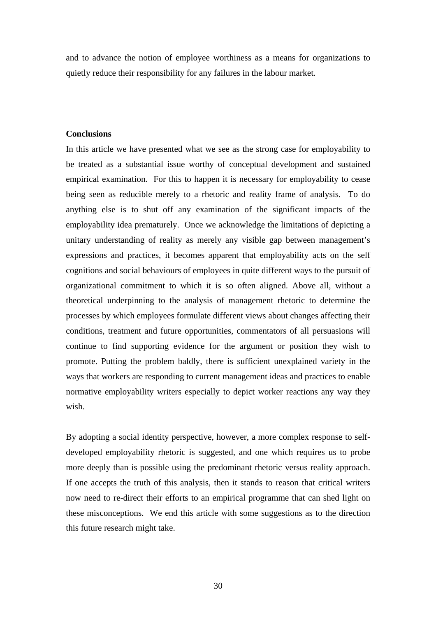and to advance the notion of employee worthiness as a means for organizations to quietly reduce their responsibility for any failures in the labour market.

## **Conclusions**

In this article we have presented what we see as the strong case for employability to be treated as a substantial issue worthy of conceptual development and sustained empirical examination. For this to happen it is necessary for employability to cease being seen as reducible merely to a rhetoric and reality frame of analysis. To do anything else is to shut off any examination of the significant impacts of the employability idea prematurely. Once we acknowledge the limitations of depicting a unitary understanding of reality as merely any visible gap between management's expressions and practices, it becomes apparent that employability acts on the self cognitions and social behaviours of employees in quite different ways to the pursuit of organizational commitment to which it is so often aligned. Above all, without a theoretical underpinning to the analysis of management rhetoric to determine the processes by which employees formulate different views about changes affecting their conditions, treatment and future opportunities, commentators of all persuasions will continue to find supporting evidence for the argument or position they wish to promote. Putting the problem baldly, there is sufficient unexplained variety in the ways that workers are responding to current management ideas and practices to enable normative employability writers especially to depict worker reactions any way they wish.

By adopting a social identity perspective, however, a more complex response to selfdeveloped employability rhetoric is suggested, and one which requires us to probe more deeply than is possible using the predominant rhetoric versus reality approach. If one accepts the truth of this analysis, then it stands to reason that critical writers now need to re-direct their efforts to an empirical programme that can shed light on these misconceptions. We end this article with some suggestions as to the direction this future research might take.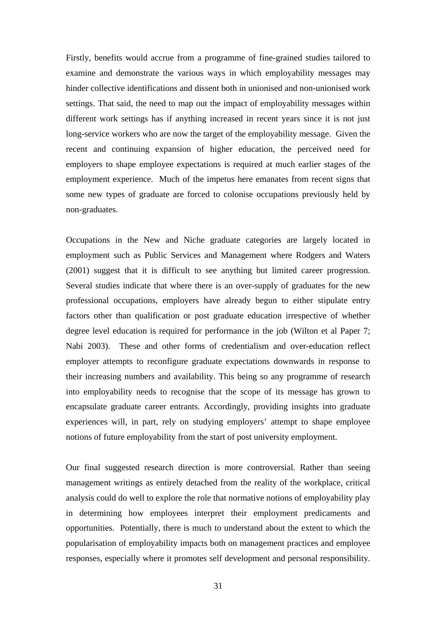Firstly, benefits would accrue from a programme of fine-grained studies tailored to examine and demonstrate the various ways in which employability messages may hinder collective identifications and dissent both in unionised and non-unionised work settings. That said, the need to map out the impact of employability messages within different work settings has if anything increased in recent years since it is not just long-service workers who are now the target of the employability message. Given the recent and continuing expansion of higher education, the perceived need for employers to shape employee expectations is required at much earlier stages of the employment experience. Much of the impetus here emanates from recent signs that some new types of graduate are forced to colonise occupations previously held by non-graduates.

Occupations in the New and Niche graduate categories are largely located in employment such as Public Services and Management where Rodgers and Waters (2001) suggest that it is difficult to see anything but limited career progression. Several studies indicate that where there is an over-supply of graduates for the new professional occupations, employers have already begun to either stipulate entry factors other than qualification or post graduate education irrespective of whether degree level education is required for performance in the job (Wilton et al Paper 7; Nabi 2003). These and other forms of credentialism and over-education reflect employer attempts to reconfigure graduate expectations downwards in response to their increasing numbers and availability. This being so any programme of research into employability needs to recognise that the scope of its message has grown to encapsulate graduate career entrants. Accordingly, providing insights into graduate experiences will, in part, rely on studying employers' attempt to shape employee notions of future employability from the start of post university employment.

Our final suggested research direction is more controversial. Rather than seeing management writings as entirely detached from the reality of the workplace, critical analysis could do well to explore the role that normative notions of employability play in determining how employees interpret their employment predicaments and opportunities. Potentially, there is much to understand about the extent to which the popularisation of employability impacts both on management practices and employee responses, especially where it promotes self development and personal responsibility.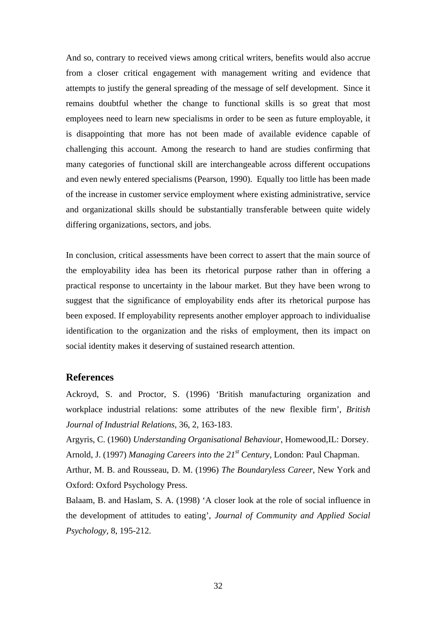And so, contrary to received views among critical writers, benefits would also accrue from a closer critical engagement with management writing and evidence that attempts to justify the general spreading of the message of self development. Since it remains doubtful whether the change to functional skills is so great that most employees need to learn new specialisms in order to be seen as future employable, it is disappointing that more has not been made of available evidence capable of challenging this account. Among the research to hand are studies confirming that many categories of functional skill are interchangeable across different occupations and even newly entered specialisms (Pearson, 1990). Equally too little has been made of the increase in customer service employment where existing administrative, service and organizational skills should be substantially transferable between quite widely differing organizations, sectors, and jobs.

In conclusion, critical assessments have been correct to assert that the main source of the employability idea has been its rhetorical purpose rather than in offering a practical response to uncertainty in the labour market. But they have been wrong to suggest that the significance of employability ends after its rhetorical purpose has been exposed. If employability represents another employer approach to individualise identification to the organization and the risks of employment, then its impact on social identity makes it deserving of sustained research attention.

## **References**

Ackroyd, S. and Proctor, S. (1996) 'British manufacturing organization and workplace industrial relations: some attributes of the new flexible firm', *British Journal of Industrial Relations*, 36, 2, 163-183.

Argyris, C. (1960) *Understanding Organisational Behaviour*, Homewood,IL: Dorsey. Arnold, J. (1997) *Managing Careers into the 21st Century*, London: Paul Chapman.

Arthur, M. B. and Rousseau, D. M. (1996) *The Boundaryless Career*, New York and Oxford: Oxford Psychology Press.

Balaam, B. and Haslam, S. A. (1998) 'A closer look at the role of social influence in the development of attitudes to eating', *Journal of Community and Applied Social Psychology*, 8, 195-212.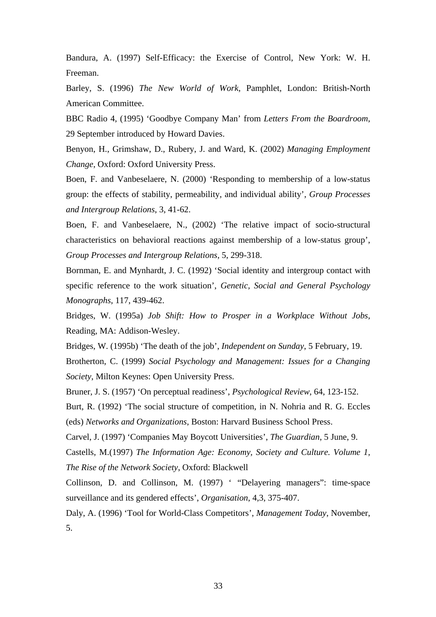Bandura, A. (1997) Self-Efficacy: the Exercise of Control, New York: W. H. Freeman.

Barley, S. (1996) *The New World of Work*, Pamphlet, London: British-North American Committee.

BBC Radio 4, (1995) 'Goodbye Company Man' from *Letters From the Boardroom*, 29 September introduced by Howard Davies.

Benyon, H., Grimshaw, D., Rubery, J. and Ward, K. (2002) *Managing Employment Change*, Oxford: Oxford University Press.

Boen, F. and Vanbeselaere, N. (2000) 'Responding to membership of a low-status group: the effects of stability, permeability, and individual ability', *Group Processes and Intergroup Relations*, 3, 41-62.

Boen, F. and Vanbeselaere, N., (2002) 'The relative impact of socio-structural characteristics on behavioral reactions against membership of a low-status group', *Group Processes and Intergroup Relations*, 5, 299-318.

Bornman, E. and Mynhardt, J. C. (1992) 'Social identity and intergroup contact with specific reference to the work situation', *Genetic, Social and General Psychology Monographs*, 117, 439-462.

Bridges, W. (1995a) *Job Shift: How to Prosper in a Workplace Without Jobs*, Reading, MA: Addison-Wesley.

Bridges, W. (1995b) 'The death of the job', *Independent on Sunday*, 5 February, 19.

Brotherton, C. (1999) *Social Psychology and Management: Issues for a Changing Society*, Milton Keynes: Open University Press.

Bruner, J. S. (1957) 'On perceptual readiness', *Psychological Review*, 64, 123-152.

Burt, R. (1992) 'The social structure of competition, in N. Nohria and R. G. Eccles (eds) *Networks and Organizations*, Boston: Harvard Business School Press.

Carvel, J. (1997) 'Companies May Boycott Universities', *The Guardian*, 5 June, 9.

Castells, M.(1997) *The Information Age: Economy, Society and Culture. Volume 1, The Rise of the Network Society*, Oxford: Blackwell

Collinson, D. and Collinson, M. (1997) ' "Delayering managers": time-space surveillance and its gendered effects', *Organisation*, 4,3, 375-407.

Daly, A. (1996) 'Tool for World-Class Competitors', *Management Today*, November, 5.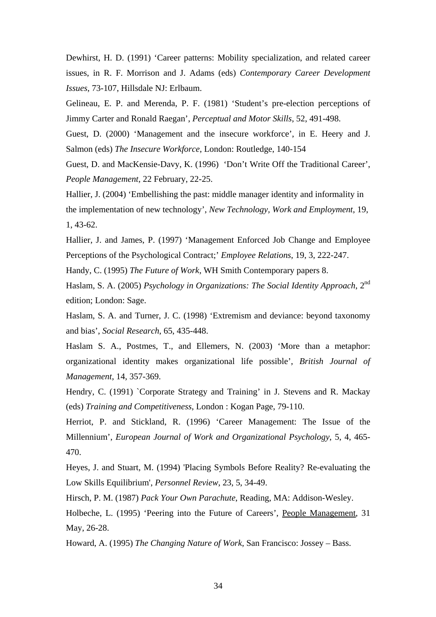Dewhirst, H. D. (1991) 'Career patterns: Mobility specialization, and related career issues, in R. F. Morrison and J. Adams (eds) *Contemporary Career Development Issues*, 73-107, Hillsdale NJ: Erlbaum.

Gelineau, E. P. and Merenda, P. F. (1981) 'Student's pre-election perceptions of Jimmy Carter and Ronald Raegan', *Perceptual and Motor Skills*, 52, 491-498.

Guest, D. (2000) 'Management and the insecure workforce', in E. Heery and J. Salmon (eds) *The Insecure Workforce*, London: Routledge, 140-154

Guest, D. and MacKensie-Davy, K. (1996) 'Don't Write Off the Traditional Career', *People Management*, 22 February, 22-25.

Hallier, J. (2004) 'Embellishing the past: middle manager identity and informality in the implementation of new technology', *New Technology, Work and Employment*, 19, 1, 43-62.

Hallier, J. and James, P. (1997) 'Management Enforced Job Change and Employee Perceptions of the Psychological Contract;' *Employee Relations*, 19, 3, 222-247.

Handy, C. (1995) *The Future of Work*, WH Smith Contemporary papers 8.

Haslam, S. A. (2005) *Psychology in Organizations: The Social Identity Approach*, 2nd edition; London: Sage.

Haslam, S. A. and Turner, J. C. (1998) 'Extremism and deviance: beyond taxonomy and bias', *Social Research*, 65, 435-448.

Haslam S. A., Postmes, T., and Ellemers, N. (2003) 'More than a metaphor: organizational identity makes organizational life possible', *British Journal of Management*, 14, 357-369.

Hendry, C. (1991) `Corporate Strategy and Training' in J. Stevens and R. Mackay (eds) *Training and Competitiveness*, London : Kogan Page, 79-110.

Herriot, P. and Stickland, R. (1996) 'Career Management: The Issue of the Millennium', *European Journal of Work and Organizational Psychology*, 5, 4, 465- 470.

Heyes, J. and Stuart, M. (1994) 'Placing Symbols Before Reality? Re-evaluating the Low Skills Equilibrium', *Personnel Review*, 23, 5, 34-49.

Hirsch, P. M. (1987) *Pack Your Own Parachute*, Reading, MA: Addison-Wesley.

Holbeche, L. (1995) 'Peering into the Future of Careers', People Management, 31 May, 26-28.

Howard, A. (1995) *The Changing Nature of Work*, San Francisco: Jossey – Bass.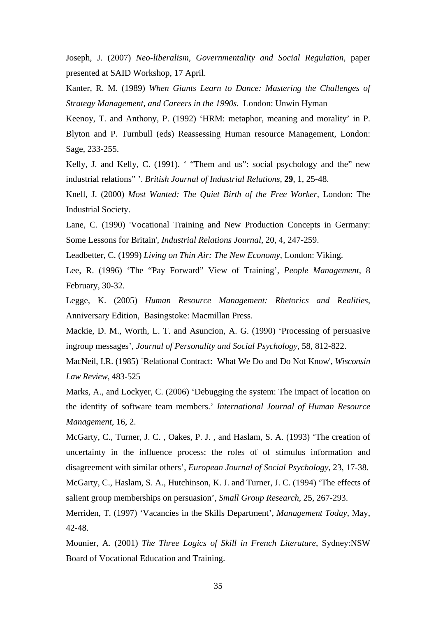Joseph, J. (2007) *Neo-liberalism, Governmentality and Social Regulation*, paper presented at SAID Workshop, 17 April.

Kanter, R. M. (1989) *When Giants Learn to Dance: Mastering the Challenges of Strategy Management, and Careers in the 1990s*. London: Unwin Hyman

Keenoy, T. and Anthony, P. (1992) 'HRM: metaphor, meaning and morality' in P. Blyton and P. Turnbull (eds) Reassessing Human resource Management, London: Sage, 233-255.

Kelly, J. and Kelly, C. (1991). ' "Them and us": social psychology and the" new industrial relations" '. *British Journal of Industrial Relations*, **29**, 1, 25-48.

Knell, J. (2000) *Most Wanted: The Quiet Birth of the Free Worker*, London: The Industrial Society.

Lane, C. (1990) 'Vocational Training and New Production Concepts in Germany: Some Lessons for Britain', *Industrial Relations Journal*, 20, 4, 247-259.

Leadbetter, C. (1999) *Living on Thin Air: The New Economy*, London: Viking.

Lee, R. (1996) 'The "Pay Forward" View of Training', *People Management*, 8 February, 30-32.

Legge, K. (2005) *Human Resource Management: Rhetorics and Realities*, Anniversary Edition, Basingstoke: Macmillan Press.

Mackie, D. M., Worth, L. T. and Asuncion, A. G. (1990) 'Processing of persuasive ingroup messages', *Journal of Personality and Social Psychology*, 58, 812-822.

MacNeil, I.R. (1985) `Relational Contract: What We Do and Do Not Know', *Wisconsin Law Review*, 483-525

Marks, A., and Lockyer, C. (2006) 'Debugging the system: The impact of location on the identity of software team members.' *International Journal of Human Resource Management*, 16, 2.

McGarty, C., Turner, J. C. , Oakes, P. J. , and Haslam, S. A. (1993) 'The creation of uncertainty in the influence process: the roles of of stimulus information and disagreement with similar others', *European Journal of Social Psychology*, 23, 17-38.

McGarty, C., Haslam, S. A., Hutchinson, K. J. and Turner, J. C. (1994) 'The effects of salient group memberships on persuasion', *Small Group Research*, 25, 267-293.

Merriden, T. (1997) 'Vacancies in the Skills Department', *Management Today*, May, 42-48.

Mounier, A. (2001) *The Three Logics of Skill in French Literature*, Sydney:NSW Board of Vocational Education and Training.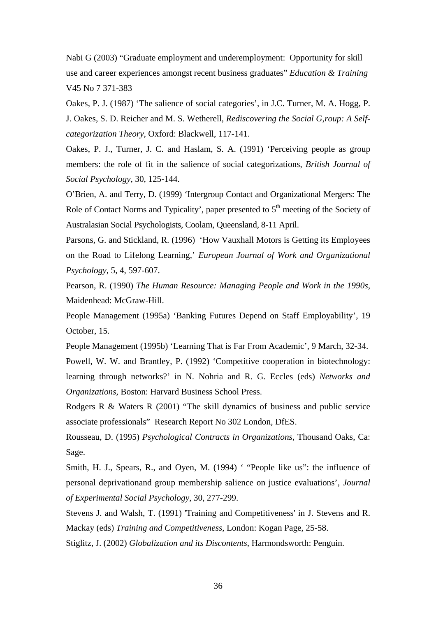Nabi G (2003) "Graduate employment and underemployment: Opportunity for skill use and career experiences amongst recent business graduates" *Education & Training*  V45 No 7 371-383

Oakes, P. J. (1987) 'The salience of social categories', in J.C. Turner, M. A. Hogg, P. J. Oakes, S. D. Reicher and M. S. Wetherell, *Rediscovering the Social G,roup: A Selfcategorization Theory*, Oxford: Blackwell, 117-141.

Oakes, P. J., Turner, J. C. and Haslam, S. A. (1991) 'Perceiving people as group members: the role of fit in the salience of social categorizations, *British Journal of Social Psychology*, 30, 125-144.

O'Brien, A. and Terry, D. (1999) 'Intergroup Contact and Organizational Mergers: The Role of Contact Norms and Typicality', paper presented to  $5<sup>th</sup>$  meeting of the Society of Australasian Social Psychologists, Coolam, Queensland, 8-11 April.

Parsons, G. and Stickland, R. (1996) 'How Vauxhall Motors is Getting its Employees on the Road to Lifelong Learning,' *European Journal of Work and Organizational Psychology*, 5, 4, 597-607.

Pearson, R. (1990) *The Human Resource: Managing People and Work in the 1990s*, Maidenhead: McGraw-Hill.

People Management (1995a) 'Banking Futures Depend on Staff Employability', 19 October, 15.

People Management (1995b) 'Learning That is Far From Academic', 9 March, 32-34. Powell, W. W. and Brantley, P. (1992) 'Competitive cooperation in biotechnology: learning through networks?' in N. Nohria and R. G. Eccles (eds) *Networks and Organizations*, Boston: Harvard Business School Press.

Rodgers R & Waters R (2001) "The skill dynamics of business and public service associate professionals" Research Report No 302 London, DfES.

Rousseau, D. (1995) *Psychological Contracts in Organizations*, Thousand Oaks, Ca: Sage.

Smith, H. J., Spears, R., and Oyen, M. (1994) ' "People like us": the influence of personal deprivationand group membership salience on justice evaluations', *Journal of Experimental Social Psychology*, 30, 277-299.

Stevens J. and Walsh, T. (1991) 'Training and Competitiveness' in J. Stevens and R. Mackay (eds) *Training and Competitiveness*, London: Kogan Page, 25-58.

Stiglitz, J. (2002) *Globalization and its Discontents*, Harmondsworth: Penguin.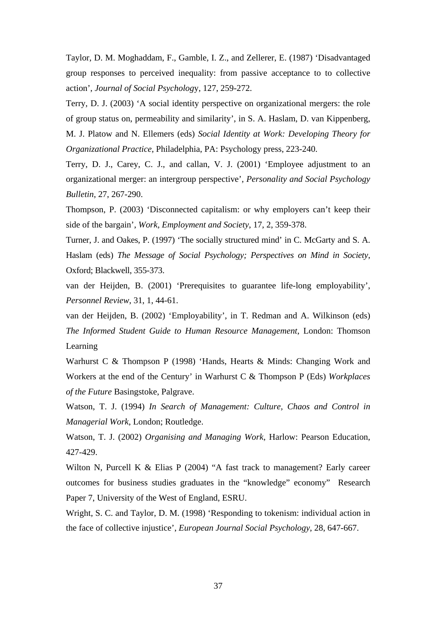Taylor, D. M. Moghaddam, F., Gamble, I. Z., and Zellerer, E. (1987) 'Disadvantaged group responses to perceived inequality: from passive acceptance to to collective action', *Journal of Social Psycholog*y, 127, 259-272.

Terry, D. J. (2003) 'A social identity perspective on organizational mergers: the role of group status on, permeability and similarity', in S. A. Haslam, D. van Kippenberg, M. J. Platow and N. Ellemers (eds) *Social Identity at Work: Developing Theory for Organizational Practice*, Philadelphia, PA: Psychology press, 223-240.

Terry, D. J., Carey, C. J., and callan, V. J. (2001) 'Employee adjustment to an organizational merger: an intergroup perspective', *Personality and Social Psychology Bulletin*, 27, 267-290.

Thompson, P. (2003) 'Disconnected capitalism: or why employers can't keep their side of the bargain', *Work, Employment and Society*, 17, 2, 359-378.

Turner, J. and Oakes, P. (1997) 'The socially structured mind' in C. McGarty and S. A. Haslam (eds) *The Message of Social Psychology; Perspectives on Mind in Society*, Oxford; Blackwell, 355-373.

van der Heijden, B. (2001) 'Prerequisites to guarantee life-long employability', *Personnel Review*, 31, 1, 44-61.

van der Heijden, B. (2002) 'Employability', in T. Redman and A. Wilkinson (eds) *The Informed Student Guide to Human Resource Management*, London: Thomson Learning

Warhurst C & Thompson P (1998) 'Hands, Hearts & Minds: Changing Work and Workers at the end of the Century' in Warhurst C & Thompson P (Eds) *Workplaces of the Future* Basingstoke, Palgrave.

Watson, T. J. (1994) *In Search of Management: Culture, Chaos and Control in Managerial Work*, London; Routledge.

Watson, T. J. (2002) *Organising and Managing Work*, Harlow: Pearson Education, 427-429.

Wilton N, Purcell K & Elias P (2004) "A fast track to management? Early career outcomes for business studies graduates in the "knowledge" economy" Research Paper 7, University of the West of England, ESRU.

Wright, S. C. and Taylor, D. M. (1998) 'Responding to tokenism: individual action in the face of collective injustice', *European Journal Social Psychology*, 28, 647-667.